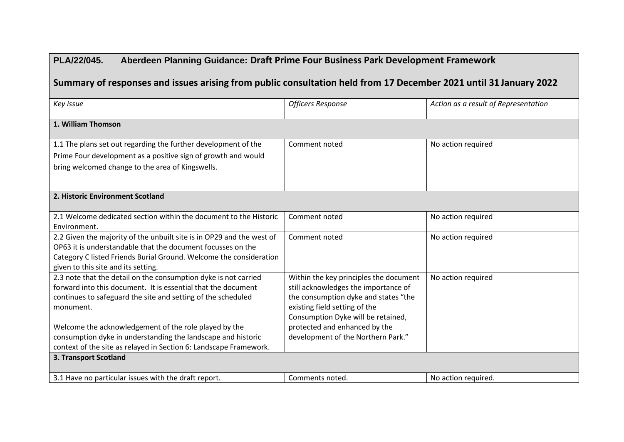| PLA/22/045.<br>Aberdeen Planning Guidance: Draft Prime Four Business Park Development Framework                                                                                                                                                   |                                                                                                                                                                                               |                                      |
|---------------------------------------------------------------------------------------------------------------------------------------------------------------------------------------------------------------------------------------------------|-----------------------------------------------------------------------------------------------------------------------------------------------------------------------------------------------|--------------------------------------|
| Summary of responses and issues arising from public consultation held from 17 December 2021 until 31 January 2022                                                                                                                                 |                                                                                                                                                                                               |                                      |
| Key issue                                                                                                                                                                                                                                         | <b>Officers Response</b>                                                                                                                                                                      | Action as a result of Representation |
| 1. William Thomson                                                                                                                                                                                                                                |                                                                                                                                                                                               |                                      |
| 1.1 The plans set out regarding the further development of the<br>Prime Four development as a positive sign of growth and would<br>bring welcomed change to the area of Kingswells.                                                               | Comment noted                                                                                                                                                                                 | No action required                   |
| 2. Historic Environment Scotland                                                                                                                                                                                                                  |                                                                                                                                                                                               |                                      |
| 2.1 Welcome dedicated section within the document to the Historic<br>Environment.                                                                                                                                                                 | Comment noted                                                                                                                                                                                 | No action required                   |
| 2.2 Given the majority of the unbuilt site is in OP29 and the west of<br>OP63 it is understandable that the document focusses on the<br>Category C listed Friends Burial Ground. Welcome the consideration<br>given to this site and its setting. | Comment noted                                                                                                                                                                                 | No action required                   |
| 2.3 note that the detail on the consumption dyke is not carried<br>forward into this document. It is essential that the document<br>continues to safeguard the site and setting of the scheduled<br>monument.                                     | Within the key principles the document<br>still acknowledges the importance of<br>the consumption dyke and states "the<br>existing field setting of the<br>Consumption Dyke will be retained, | No action required                   |
| Welcome the acknowledgement of the role played by the<br>consumption dyke in understanding the landscape and historic<br>context of the site as relayed in Section 6: Landscape Framework.                                                        | protected and enhanced by the<br>development of the Northern Park."                                                                                                                           |                                      |
| 3. Transport Scotland                                                                                                                                                                                                                             |                                                                                                                                                                                               |                                      |
| 3.1 Have no particular issues with the draft report.                                                                                                                                                                                              | Comments noted.                                                                                                                                                                               | No action required.                  |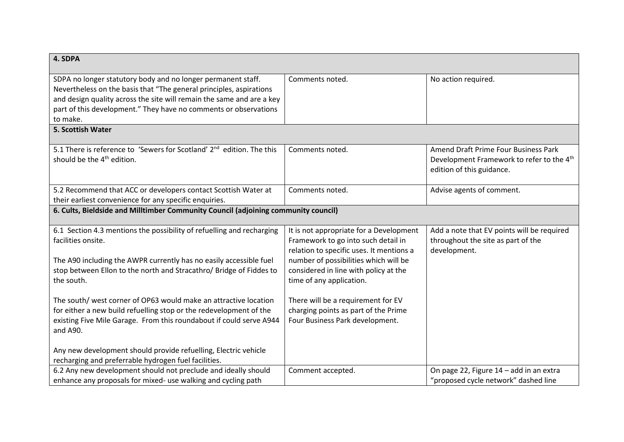| 4. SDPA                                                                                                                                                                                                                                                                                                                                              |                                                                                                                                                                                                                                          |                                                                                                                            |
|------------------------------------------------------------------------------------------------------------------------------------------------------------------------------------------------------------------------------------------------------------------------------------------------------------------------------------------------------|------------------------------------------------------------------------------------------------------------------------------------------------------------------------------------------------------------------------------------------|----------------------------------------------------------------------------------------------------------------------------|
| SDPA no longer statutory body and no longer permanent staff.<br>Nevertheless on the basis that "The general principles, aspirations<br>and design quality across the site will remain the same and are a key<br>part of this development." They have no comments or observations<br>to make.                                                         | Comments noted.                                                                                                                                                                                                                          | No action required.                                                                                                        |
| 5. Scottish Water                                                                                                                                                                                                                                                                                                                                    |                                                                                                                                                                                                                                          |                                                                                                                            |
| 5.1 There is reference to 'Sewers for Scotland' 2 <sup>nd</sup> edition. The this<br>should be the 4 <sup>th</sup> edition.                                                                                                                                                                                                                          | Comments noted.                                                                                                                                                                                                                          | Amend Draft Prime Four Business Park<br>Development Framework to refer to the 4 <sup>th</sup><br>edition of this guidance. |
| 5.2 Recommend that ACC or developers contact Scottish Water at<br>their earliest convenience for any specific enquiries.                                                                                                                                                                                                                             | Comments noted.                                                                                                                                                                                                                          | Advise agents of comment.                                                                                                  |
| 6. Cults, Bieldside and Milltimber Community Council (adjoining community council)                                                                                                                                                                                                                                                                   |                                                                                                                                                                                                                                          |                                                                                                                            |
| 6.1 Section 4.3 mentions the possibility of refuelling and recharging<br>facilities onsite.<br>The A90 including the AWPR currently has no easily accessible fuel<br>stop between Ellon to the north and Stracathro/ Bridge of Fiddes to<br>the south.                                                                                               | It is not appropriate for a Development<br>Framework to go into such detail in<br>relation to specific uses. It mentions a<br>number of possibilities which will be<br>considered in line with policy at the<br>time of any application. | Add a note that EV points will be required<br>throughout the site as part of the<br>development.                           |
| The south/ west corner of OP63 would make an attractive location<br>for either a new build refuelling stop or the redevelopment of the<br>existing Five Mile Garage. From this roundabout if could serve A944<br>and A90.<br>Any new development should provide refuelling, Electric vehicle<br>recharging and preferrable hydrogen fuel facilities. | There will be a requirement for EV<br>charging points as part of the Prime<br>Four Business Park development.                                                                                                                            |                                                                                                                            |
| 6.2 Any new development should not preclude and ideally should<br>enhance any proposals for mixed- use walking and cycling path                                                                                                                                                                                                                      | Comment accepted.                                                                                                                                                                                                                        | On page 22, Figure 14 - add in an extra<br>"proposed cycle network" dashed line                                            |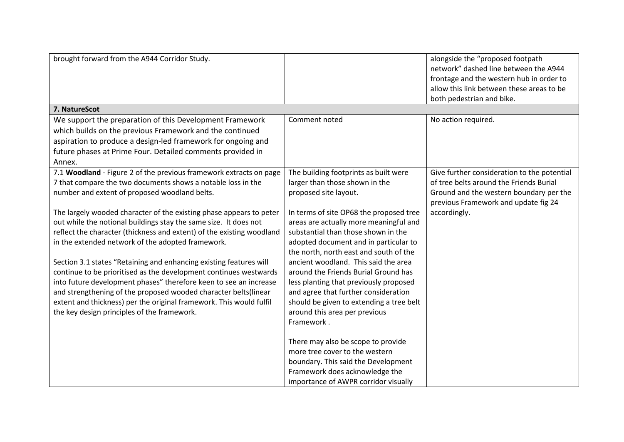| brought forward from the A944 Corridor Study.                                                                                                                                                                                                                                                                                                                                                                                                                                                                                                                                                                                                                                  |                                                                                                                                                                                                                                                                                                                                                                                                                                                                          | alongside the "proposed footpath<br>network" dashed line between the A944<br>frontage and the western hub in order to<br>allow this link between these areas to be<br>both pedestrian and bike. |
|--------------------------------------------------------------------------------------------------------------------------------------------------------------------------------------------------------------------------------------------------------------------------------------------------------------------------------------------------------------------------------------------------------------------------------------------------------------------------------------------------------------------------------------------------------------------------------------------------------------------------------------------------------------------------------|--------------------------------------------------------------------------------------------------------------------------------------------------------------------------------------------------------------------------------------------------------------------------------------------------------------------------------------------------------------------------------------------------------------------------------------------------------------------------|-------------------------------------------------------------------------------------------------------------------------------------------------------------------------------------------------|
| 7. NatureScot                                                                                                                                                                                                                                                                                                                                                                                                                                                                                                                                                                                                                                                                  |                                                                                                                                                                                                                                                                                                                                                                                                                                                                          |                                                                                                                                                                                                 |
| We support the preparation of this Development Framework<br>which builds on the previous Framework and the continued<br>aspiration to produce a design-led framework for ongoing and<br>future phases at Prime Four. Detailed comments provided in<br>Annex.                                                                                                                                                                                                                                                                                                                                                                                                                   | Comment noted                                                                                                                                                                                                                                                                                                                                                                                                                                                            | No action required.                                                                                                                                                                             |
| 7.1 Woodland - Figure 2 of the previous framework extracts on page<br>7 that compare the two documents shows a notable loss in the<br>number and extent of proposed woodland belts.                                                                                                                                                                                                                                                                                                                                                                                                                                                                                            | The building footprints as built were<br>larger than those shown in the<br>proposed site layout.                                                                                                                                                                                                                                                                                                                                                                         | Give further consideration to the potential<br>of tree belts around the Friends Burial<br>Ground and the western boundary per the<br>previous Framework and update fig 24                       |
| The largely wooded character of the existing phase appears to peter<br>out while the notional buildings stay the same size. It does not<br>reflect the character (thickness and extent) of the existing woodland<br>in the extended network of the adopted framework.<br>Section 3.1 states "Retaining and enhancing existing features will<br>continue to be prioritised as the development continues westwards<br>into future development phases" therefore keen to see an increase<br>and strengthening of the proposed wooded character belts(linear<br>extent and thickness) per the original framework. This would fulfil<br>the key design principles of the framework. | In terms of site OP68 the proposed tree<br>areas are actually more meaningful and<br>substantial than those shown in the<br>adopted document and in particular to<br>the north, north east and south of the<br>ancient woodland. This said the area<br>around the Friends Burial Ground has<br>less planting that previously proposed<br>and agree that further consideration<br>should be given to extending a tree belt<br>around this area per previous<br>Framework. | accordingly.                                                                                                                                                                                    |
|                                                                                                                                                                                                                                                                                                                                                                                                                                                                                                                                                                                                                                                                                | There may also be scope to provide<br>more tree cover to the western<br>boundary. This said the Development<br>Framework does acknowledge the<br>importance of AWPR corridor visually                                                                                                                                                                                                                                                                                    |                                                                                                                                                                                                 |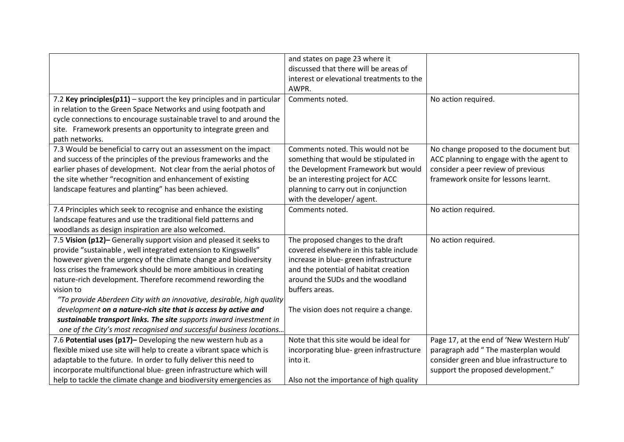|                                                                            | and states on page 23 where it            |                                           |
|----------------------------------------------------------------------------|-------------------------------------------|-------------------------------------------|
|                                                                            | discussed that there will be areas of     |                                           |
|                                                                            | interest or elevational treatments to the |                                           |
|                                                                            | AWPR.                                     |                                           |
| 7.2 Key principles( $p11$ ) – support the key principles and in particular | Comments noted.                           | No action required.                       |
| in relation to the Green Space Networks and using footpath and             |                                           |                                           |
| cycle connections to encourage sustainable travel to and around the        |                                           |                                           |
| site. Framework presents an opportunity to integrate green and             |                                           |                                           |
| path networks.                                                             |                                           |                                           |
| 7.3 Would be beneficial to carry out an assessment on the impact           | Comments noted. This would not be         | No change proposed to the document but    |
| and success of the principles of the previous frameworks and the           | something that would be stipulated in     | ACC planning to engage with the agent to  |
| earlier phases of development. Not clear from the aerial photos of         | the Development Framework but would       | consider a peer review of previous        |
| the site whether "recognition and enhancement of existing                  | be an interesting project for ACC         | framework onsite for lessons learnt.      |
| landscape features and planting" has been achieved.                        | planning to carry out in conjunction      |                                           |
|                                                                            | with the developer/agent.                 |                                           |
| 7.4 Principles which seek to recognise and enhance the existing            | Comments noted.                           | No action required.                       |
| landscape features and use the traditional field patterns and              |                                           |                                           |
| woodlands as design inspiration are also welcomed.                         |                                           |                                           |
| 7.5 Vision (p12)- Generally support vision and pleased it seeks to         | The proposed changes to the draft         | No action required.                       |
| provide "sustainable, well integrated extension to Kingswells"             | covered elsewhere in this table include   |                                           |
| however given the urgency of the climate change and biodiversity           | increase in blue- green infrastructure    |                                           |
| loss crises the framework should be more ambitious in creating             | and the potential of habitat creation     |                                           |
| nature-rich development. Therefore recommend rewording the                 | around the SUDs and the woodland          |                                           |
| vision to                                                                  | buffers areas.                            |                                           |
| "To provide Aberdeen City with an innovative, desirable, high quality      |                                           |                                           |
| development on a nature-rich site that is access by active and             | The vision does not require a change.     |                                           |
| sustainable transport links. The site supports inward investment in        |                                           |                                           |
| one of the City's most recognised and successful business locations        |                                           |                                           |
| 7.6 Potential uses (p17)- Developing the new western hub as a              | Note that this site would be ideal for    | Page 17, at the end of 'New Western Hub'  |
| flexible mixed use site will help to create a vibrant space which is       | incorporating blue-green infrastructure   | paragraph add "The masterplan would       |
| adaptable to the future. In order to fully deliver this need to            | into it.                                  | consider green and blue infrastructure to |
| incorporate multifunctional blue-green infrastructure which will           |                                           | support the proposed development."        |
| help to tackle the climate change and biodiversity emergencies as          | Also not the importance of high quality   |                                           |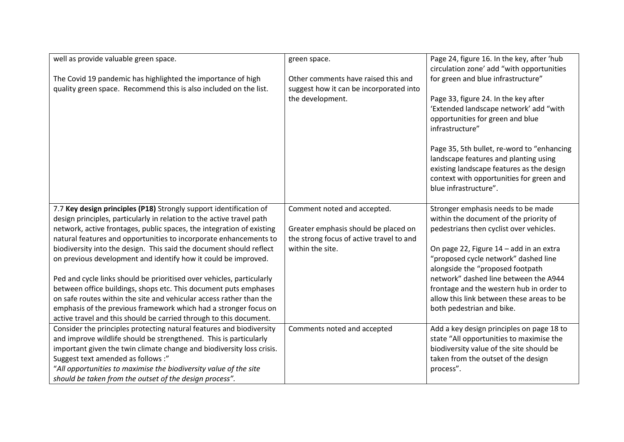| well as provide valuable green space.                                 | green space.                             | Page 24, figure 16. In the key, after 'hub                                                                                                                                                            |
|-----------------------------------------------------------------------|------------------------------------------|-------------------------------------------------------------------------------------------------------------------------------------------------------------------------------------------------------|
| The Covid 19 pandemic has highlighted the importance of high          | Other comments have raised this and      | circulation zone' add "with opportunities<br>for green and blue infrastructure"                                                                                                                       |
| quality green space. Recommend this is also included on the list.     | suggest how it can be incorporated into  |                                                                                                                                                                                                       |
|                                                                       | the development.                         | Page 33, figure 24. In the key after<br>'Extended landscape network' add "with<br>opportunities for green and blue<br>infrastructure"                                                                 |
|                                                                       |                                          | Page 35, 5th bullet, re-word to "enhancing<br>landscape features and planting using<br>existing landscape features as the design<br>context with opportunities for green and<br>blue infrastructure". |
| 7.7 Key design principles (P18) Strongly support identification of    | Comment noted and accepted.              | Stronger emphasis needs to be made                                                                                                                                                                    |
| design principles, particularly in relation to the active travel path |                                          | within the document of the priority of                                                                                                                                                                |
| network, active frontages, public spaces, the integration of existing | Greater emphasis should be placed on     | pedestrians then cyclist over vehicles.                                                                                                                                                               |
| natural features and opportunities to incorporate enhancements to     | the strong focus of active travel to and |                                                                                                                                                                                                       |
| biodiversity into the design. This said the document should reflect   | within the site.                         | On page 22, Figure 14 - add in an extra                                                                                                                                                               |
| on previous development and identify how it could be improved.        |                                          | "proposed cycle network" dashed line                                                                                                                                                                  |
|                                                                       |                                          | alongside the "proposed footpath                                                                                                                                                                      |
| Ped and cycle links should be prioritised over vehicles, particularly |                                          | network" dashed line between the A944                                                                                                                                                                 |
| between office buildings, shops etc. This document puts emphases      |                                          | frontage and the western hub in order to                                                                                                                                                              |
| on safe routes within the site and vehicular access rather than the   |                                          | allow this link between these areas to be                                                                                                                                                             |
| emphasis of the previous framework which had a stronger focus on      |                                          | both pedestrian and bike.                                                                                                                                                                             |
| active travel and this should be carried through to this document.    |                                          |                                                                                                                                                                                                       |
| Consider the principles protecting natural features and biodiversity  | Comments noted and accepted              | Add a key design principles on page 18 to                                                                                                                                                             |
| and improve wildlife should be strengthened. This is particularly     |                                          | state "All opportunities to maximise the                                                                                                                                                              |
| important given the twin climate change and biodiversity loss crisis. |                                          | biodiversity value of the site should be                                                                                                                                                              |
| Suggest text amended as follows :"                                    |                                          | taken from the outset of the design                                                                                                                                                                   |
| "All opportunities to maximise the biodiversity value of the site     |                                          | process".                                                                                                                                                                                             |
| should be taken from the outset of the design process".               |                                          |                                                                                                                                                                                                       |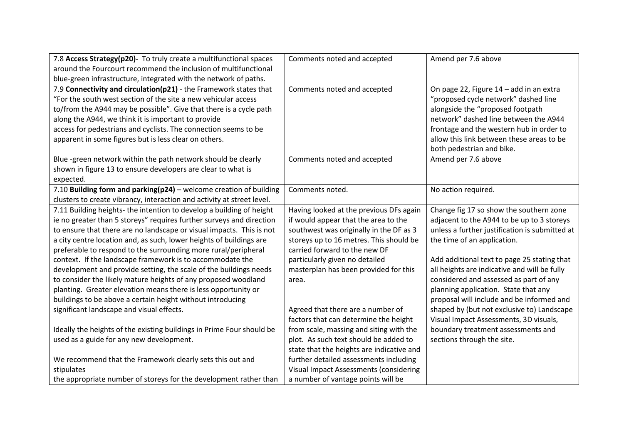| 7.8 Access Strategy(p20)- To truly create a multifunctional spaces     | Comments noted and accepted               | Amend per 7.6 above                            |
|------------------------------------------------------------------------|-------------------------------------------|------------------------------------------------|
| around the Fourcourt recommend the inclusion of multifunctional        |                                           |                                                |
| blue-green infrastructure, integrated with the network of paths.       |                                           |                                                |
| 7.9 Connectivity and circulation(p21) - the Framework states that      | Comments noted and accepted               | On page 22, Figure 14 - add in an extra        |
| "For the south west section of the site a new vehicular access         |                                           | "proposed cycle network" dashed line           |
| to/from the A944 may be possible". Give that there is a cycle path     |                                           | alongside the "proposed footpath               |
| along the A944, we think it is important to provide                    |                                           | network" dashed line between the A944          |
| access for pedestrians and cyclists. The connection seems to be        |                                           | frontage and the western hub in order to       |
| apparent in some figures but is less clear on others.                  |                                           | allow this link between these areas to be      |
|                                                                        |                                           | both pedestrian and bike.                      |
| Blue -green network within the path network should be clearly          | Comments noted and accepted               | Amend per 7.6 above                            |
| shown in figure 13 to ensure developers are clear to what is           |                                           |                                                |
| expected.                                                              |                                           |                                                |
| 7.10 Building form and parking(p24) - welcome creation of building     | Comments noted.                           | No action required.                            |
| clusters to create vibrancy, interaction and activity at street level. |                                           |                                                |
| 7.11 Building heights- the intention to develop a building of height   | Having looked at the previous DFs again   | Change fig 17 so show the southern zone        |
| ie no greater than 5 storeys" requires further surveys and direction   | if would appear that the area to the      | adjacent to the A944 to be up to 3 storeys     |
| to ensure that there are no landscape or visual impacts. This is not   | southwest was originally in the DF as 3   | unless a further justification is submitted at |
| a city centre location and, as such, lower heights of buildings are    | storeys up to 16 metres. This should be   | the time of an application.                    |
| preferable to respond to the surrounding more rural/peripheral         | carried forward to the new DF             |                                                |
| context. If the landscape framework is to accommodate the              | particularly given no detailed            | Add additional text to page 25 stating that    |
| development and provide setting, the scale of the buildings needs      | masterplan has been provided for this     | all heights are indicative and will be fully   |
| to consider the likely mature heights of any proposed woodland         | area.                                     | considered and assessed as part of any         |
| planting. Greater elevation means there is less opportunity or         |                                           | planning application. State that any           |
| buildings to be above a certain height without introducing             |                                           | proposal will include and be informed and      |
| significant landscape and visual effects.                              | Agreed that there are a number of         | shaped by (but not exclusive to) Landscape     |
|                                                                        | factors that can determine the height     | Visual Impact Assessments, 3D visuals,         |
| Ideally the heights of the existing buildings in Prime Four should be  | from scale, massing and siting with the   | boundary treatment assessments and             |
| used as a guide for any new development.                               | plot. As such text should be added to     | sections through the site.                     |
|                                                                        | state that the heights are indicative and |                                                |
| We recommend that the Framework clearly sets this out and              | further detailed assessments including    |                                                |
| stipulates                                                             | Visual Impact Assessments (considering    |                                                |
| the appropriate number of storeys for the development rather than      | a number of vantage points will be        |                                                |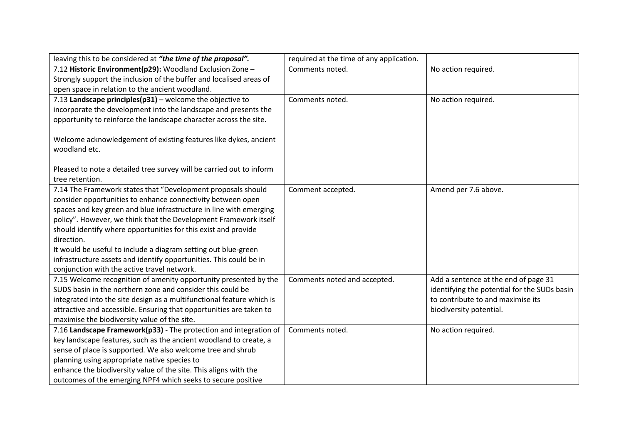| leaving this to be considered at "the time of the proposal".          | required at the time of any application. |                                              |
|-----------------------------------------------------------------------|------------------------------------------|----------------------------------------------|
| 7.12 Historic Environment(p29): Woodland Exclusion Zone -             | Comments noted.                          | No action required.                          |
| Strongly support the inclusion of the buffer and localised areas of   |                                          |                                              |
| open space in relation to the ancient woodland.                       |                                          |                                              |
| 7.13 Landscape principles(p31) - welcome the objective to             | Comments noted.                          | No action required.                          |
| incorporate the development into the landscape and presents the       |                                          |                                              |
| opportunity to reinforce the landscape character across the site.     |                                          |                                              |
|                                                                       |                                          |                                              |
| Welcome acknowledgement of existing features like dykes, ancient      |                                          |                                              |
| woodland etc.                                                         |                                          |                                              |
|                                                                       |                                          |                                              |
| Pleased to note a detailed tree survey will be carried out to inform  |                                          |                                              |
| tree retention.                                                       |                                          |                                              |
| 7.14 The Framework states that "Development proposals should          | Comment accepted.                        | Amend per 7.6 above.                         |
| consider opportunities to enhance connectivity between open           |                                          |                                              |
| spaces and key green and blue infrastructure in line with emerging    |                                          |                                              |
| policy". However, we think that the Development Framework itself      |                                          |                                              |
| should identify where opportunities for this exist and provide        |                                          |                                              |
| direction.                                                            |                                          |                                              |
| It would be useful to include a diagram setting out blue-green        |                                          |                                              |
| infrastructure assets and identify opportunities. This could be in    |                                          |                                              |
| conjunction with the active travel network.                           |                                          |                                              |
| 7.15 Welcome recognition of amenity opportunity presented by the      | Comments noted and accepted.             | Add a sentence at the end of page 31         |
| SUDS basin in the northern zone and consider this could be            |                                          | identifying the potential for the SUDs basin |
| integrated into the site design as a multifunctional feature which is |                                          | to contribute to and maximise its            |
| attractive and accessible. Ensuring that opportunities are taken to   |                                          | biodiversity potential.                      |
| maximise the biodiversity value of the site.                          |                                          |                                              |
| 7.16 Landscape Framework(p33) - The protection and integration of     | Comments noted.                          | No action required.                          |
| key landscape features, such as the ancient woodland to create, a     |                                          |                                              |
| sense of place is supported. We also welcome tree and shrub           |                                          |                                              |
| planning using appropriate native species to                          |                                          |                                              |
| enhance the biodiversity value of the site. This aligns with the      |                                          |                                              |
| outcomes of the emerging NPF4 which seeks to secure positive          |                                          |                                              |